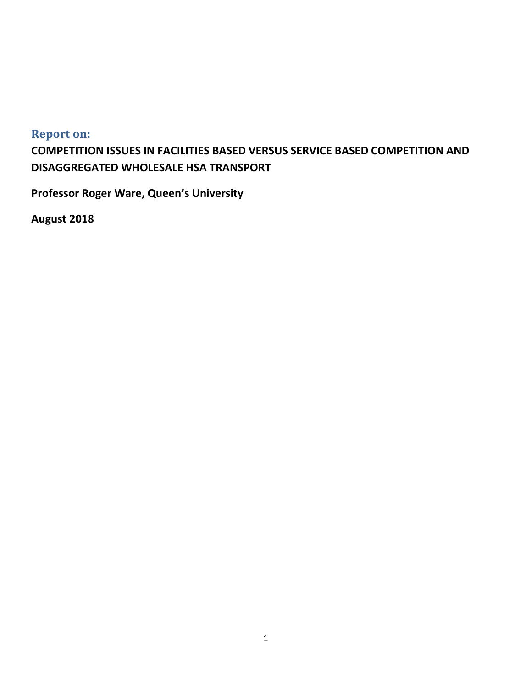# <span id="page-0-0"></span>**Report on:**

**COMPETITION ISSUES IN FACILITIES BASED VERSUS SERVICE BASED COMPETITION AND DISAGGREGATED WHOLESALE HSA TRANSPORT**

**Professor Roger Ware, Queen's University**

**August 2018**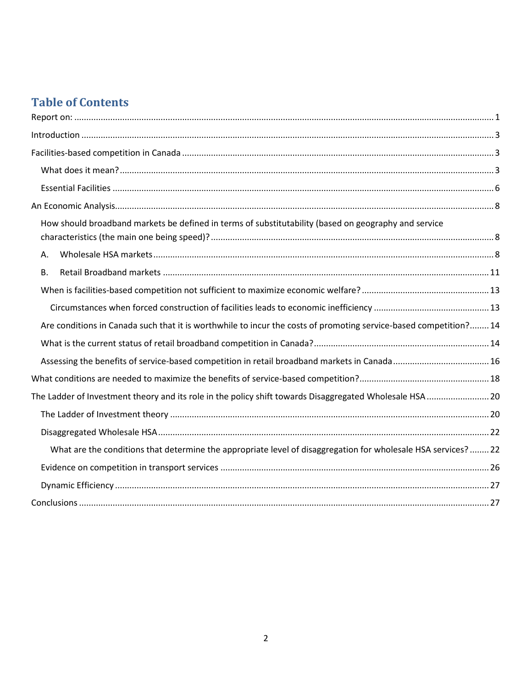# **Table of Contents**

| How should broadband markets be defined in terms of substitutability (based on geography and service              |  |
|-------------------------------------------------------------------------------------------------------------------|--|
| Α.                                                                                                                |  |
| В.                                                                                                                |  |
|                                                                                                                   |  |
|                                                                                                                   |  |
| Are conditions in Canada such that it is worthwhile to incur the costs of promoting service-based competition? 14 |  |
|                                                                                                                   |  |
|                                                                                                                   |  |
|                                                                                                                   |  |
| The Ladder of Investment theory and its role in the policy shift towards Disaggregated Wholesale HSA  20          |  |
|                                                                                                                   |  |
|                                                                                                                   |  |
| What are the conditions that determine the appropriate level of disaggregation for wholesale HSA services?  22    |  |
|                                                                                                                   |  |
|                                                                                                                   |  |
|                                                                                                                   |  |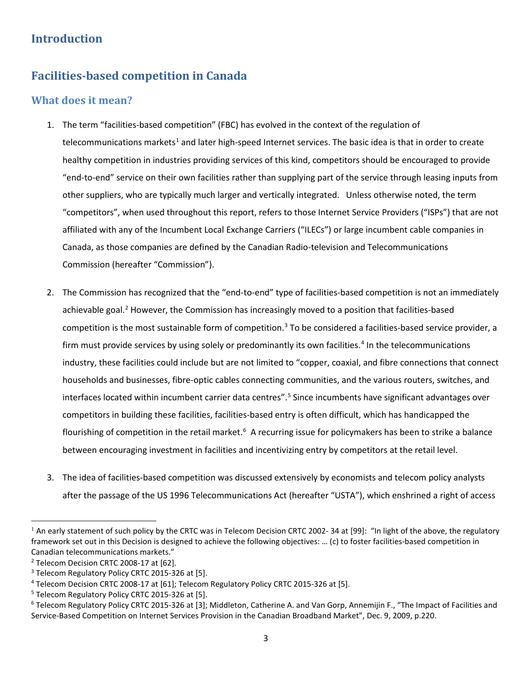# <span id="page-2-1"></span><span id="page-2-0"></span>**Introduction**

# **Facilities-based competition in Canada**

### <span id="page-2-2"></span>**What does it mean?**

- 1. The term "facilities-based competition" (FBC) has evolved in the context of the regulation of telecommunications markets<sup>[1](#page-2-3)</sup> and later high-speed Internet services. The basic idea is that in order to create healthy competition in industries providing services of this kind, competitors should be encouraged to provide "end-to-end" service on their own facilities rather than supplying part of the service through leasing inputs from other suppliers, who are typically much larger and vertically integrated. Unless otherwise noted, the term "competitors", when used throughout this report, refers to those Internet Service Providers ("ISPs") that are not affiliated with any of the Incumbent Local Exchange Carriers ("ILECs") or large incumbent cable companies in Canada, as those companies are defined by the Canadian Radio-television and Telecommunications Commission (hereafter "Commission").
- 2. The Commission has recognized that the "end-to-end" type of facilities-based competition is not an immediately achievable goal.<sup>[2](#page-2-4)</sup> However, the Commission has increasingly moved to a position that facilities-based competition is the most sustainable form of competition. $3$  To be considered a facilities-based service provider, a firm must provide services by using solely or predominantly its own facilities.<sup>[4](#page-2-6)</sup> In the telecommunications industry, these facilities could include but are not limited to "copper, coaxial, and fibre connections that connect households and businesses, fibre-optic cables connecting communities, and the various routers, switches, and interfaces located within incumbent carrier data centres".<sup>[5](#page-2-7)</sup> Since incumbents have significant advantages over competitors in building these facilities, facilities-based entry is often difficult, which has handicapped the flourishing of competition in the retail market.<sup>[6](#page-2-8)</sup> A recurring issue for policymakers has been to strike a balance between encouraging investment in facilities and incentivizing entry by competitors at the retail level.
- 3. The idea of facilities-based competition was discussed extensively by economists and telecom policy analysts after the passage of the US 1996 Telecommunications Act (hereafter "USTA"), which enshrined a right of access

 $\overline{\phantom{a}}$ 

<span id="page-2-3"></span> $1$  An early statement of such policy by the CRTC was in Telecom Decision CRTC 2002-34 at [99]: "In light of the above, the regulatory framework set out in this Decision is designed to achieve the following objectives: … (c) to foster facilities-based competition in Canadian telecommunications markets."

<span id="page-2-4"></span><sup>&</sup>lt;sup>2</sup> Telecom Decision CRTC 2008-17 at [62].

<span id="page-2-5"></span><sup>&</sup>lt;sup>3</sup> Telecom Regulatory Policy CRTC 2015-326 at [5].

<span id="page-2-6"></span><sup>4</sup> Telecom Decision CRTC 2008-17 at [61]; Telecom Regulatory Policy CRTC 2015-326 at [5].

<span id="page-2-7"></span><sup>&</sup>lt;sup>5</sup> Telecom Regulatory Policy CRTC 2015-326 at [5].

<span id="page-2-8"></span><sup>&</sup>lt;sup>6</sup> Telecom Regulatory Policy CRTC 2015-326 at [3]; Middleton, Catherine A. and Van Gorp, Annemijin F., "The Impact of Facilities and Service-Based Competition on Internet Services Provision in the Canadian Broadband Market", Dec. 9, 2009, p.220.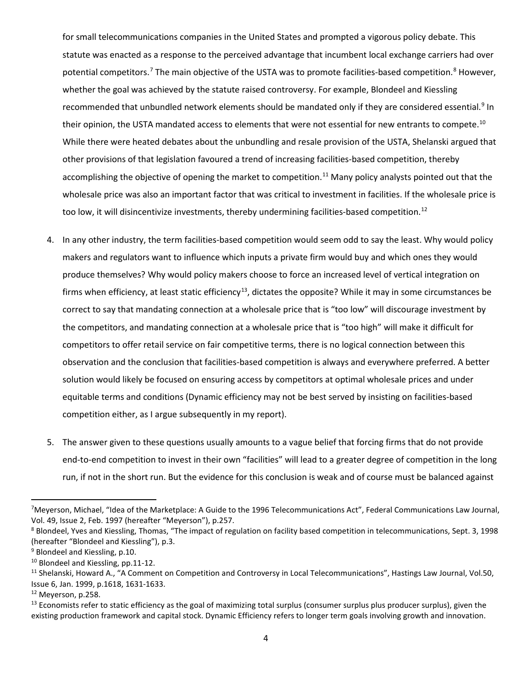for small telecommunications companies in the United States and prompted a vigorous policy debate. This statute was enacted as a response to the perceived advantage that incumbent local exchange carriers had over potential competitors.<sup>[7](#page-3-0)</sup> The main objective of the USTA was to promote facilities-based competition.<sup>[8](#page-3-1)</sup> However, whether the goal was achieved by the statute raised controversy. For example, Blondeel and Kiessling recommended that unbundled network elements should be mandated only if they are considered essential.<sup>[9](#page-3-2)</sup> In their opinion, the USTA mandated access to elements that were not essential for new entrants to compete.<sup>[10](#page-3-3)</sup> While there were heated debates about the unbundling and resale provision of the USTA, Shelanski argued that other provisions of that legislation favoured a trend of increasing facilities-based competition, thereby accomplishing the objective of opening the market to competition.<sup>[11](#page-3-4)</sup> Many policy analysts pointed out that the wholesale price was also an important factor that was critical to investment in facilities. If the wholesale price is too low, it will disincentivize investments, thereby undermining facilities-based competition.<sup>[12](#page-3-5)</sup>

- 4. In any other industry, the term facilities-based competition would seem odd to say the least. Why would policy makers and regulators want to influence which inputs a private firm would buy and which ones they would produce themselves? Why would policy makers choose to force an increased level of vertical integration on firms when efficiency, at least static efficiency<sup>13</sup>, dictates the opposite? While it may in some circumstances be correct to say that mandating connection at a wholesale price that is "too low" will discourage investment by the competitors, and mandating connection at a wholesale price that is "too high" will make it difficult for competitors to offer retail service on fair competitive terms, there is no logical connection between this observation and the conclusion that facilities-based competition is always and everywhere preferred. A better solution would likely be focused on ensuring access by competitors at optimal wholesale prices and under equitable terms and conditions (Dynamic efficiency may not be best served by insisting on facilities-based competition either, as I argue subsequently in my report).
- 5. The answer given to these questions usually amounts to a vague belief that forcing firms that do not provide end-to-end competition to invest in their own "facilities" will lead to a greater degree of competition in the long run, if not in the short run. But the evidence for this conclusion is weak and of course must be balanced against

<span id="page-3-0"></span><sup>-&</sup>lt;br>7 <sup>7</sup>Meyerson, Michael, "Idea of the Marketplace: A Guide to the 1996 Telecommunications Act", Federal Communications Law Journal, Vol. 49, Issue 2, Feb. 1997 (hereafter "Meyerson"), p.257.

<span id="page-3-1"></span><sup>&</sup>lt;sup>8</sup> Blondeel, Yves and Kiessling, Thomas, "The impact of regulation on facility based competition in telecommunications, Sept. 3, 1998 (hereafter "Blondeel and Kiessling"), p.3.

<span id="page-3-2"></span><sup>&</sup>lt;sup>9</sup> Blondeel and Kiessling, p.10.

<span id="page-3-3"></span><sup>&</sup>lt;sup>10</sup> Blondeel and Kiessling, pp.11-12.

<span id="page-3-4"></span><sup>&</sup>lt;sup>11</sup> Shelanski, Howard A., "A Comment on Competition and Controversy in Local Telecommunications", Hastings Law Journal, Vol.50, Issue 6, Jan. 1999, p.1618, 1631-1633.

<span id="page-3-5"></span><sup>12</sup> Meyerson, p.258.

<span id="page-3-6"></span><sup>&</sup>lt;sup>13</sup> Economists refer to static efficiency as the goal of maximizing total surplus (consumer surplus plus producer surplus), given the existing production framework and capital stock. Dynamic Efficiency refers to longer term goals involving growth and innovation.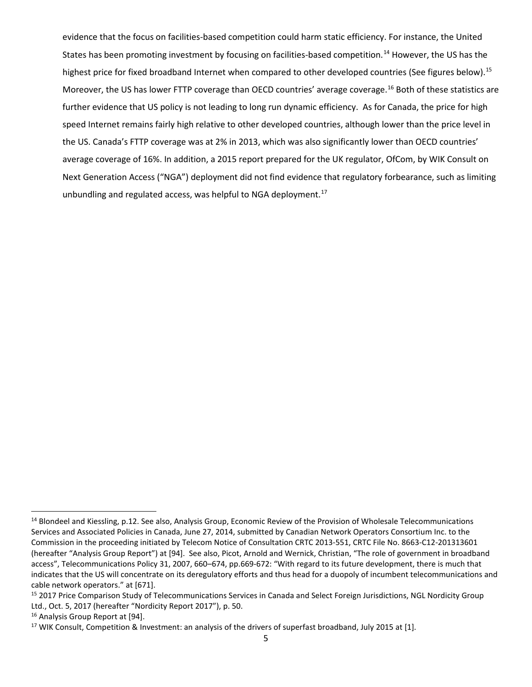evidence that the focus on facilities-based competition could harm static efficiency. For instance, the United States has been promoting investment by focusing on facilities-based competition.<sup>[14](#page-4-0)</sup> However, the US has the highest price for fixed broadband Internet when compared to other developed countries (See figures below).<sup>[15](#page-4-1)</sup> Moreover, the US has lower FTTP coverage than OECD countries' average coverage.[16](#page-4-2) Both of these statistics are further evidence that US policy is not leading to long run dynamic efficiency. As for Canada, the price for high speed Internet remains fairly high relative to other developed countries, although lower than the price level in the US. Canada's FTTP coverage was at 2% in 2013, which was also significantly lower than OECD countries' average coverage of 16%. In addition, a 2015 report prepared for the UK regulator, OfCom, by WIK Consult on Next Generation Access ("NGA") deployment did not find evidence that regulatory forbearance, such as limiting unbundling and regulated access, was helpful to NGA deployment.<sup>[17](#page-4-3)</sup>

<span id="page-4-0"></span><sup>&</sup>lt;sup>14</sup> Blondeel and Kiessling, p.12. See also, Analysis Group, Economic Review of the Provision of Wholesale Telecommunications Services and Associated Policies in Canada, June 27, 2014, submitted by Canadian Network Operators Consortium Inc. to the Commission in the proceeding initiated by Telecom Notice of Consultation CRTC 2013-551, CRTC File No. 8663-C12-201313601 (hereafter "Analysis Group Report") at [94]. See also, Picot, Arnold and Wernick, Christian, "The role of government in broadband access", Telecommunications Policy 31, 2007, 660–674, pp.669-672: "With regard to its future development, there is much that indicates that the US will concentrate on its deregulatory efforts and thus head for a duopoly of incumbent telecommunications and cable network operators." at [671].<br><sup>15</sup> 2017 Price Comparison Study of Telecommunications Services in Canada and Select Foreign Jurisdictions, NGL Nordicity Group

<span id="page-4-1"></span>Ltd., Oct. 5, 2017 (hereafter "Nordicity Report 2017"), p. 50.<br><sup>16</sup> Analysis Group Report at [94].

<span id="page-4-2"></span>

<span id="page-4-3"></span><sup>&</sup>lt;sup>17</sup> WIK Consult, Competition & Investment: an analysis of the drivers of superfast broadband, July 2015 at [1].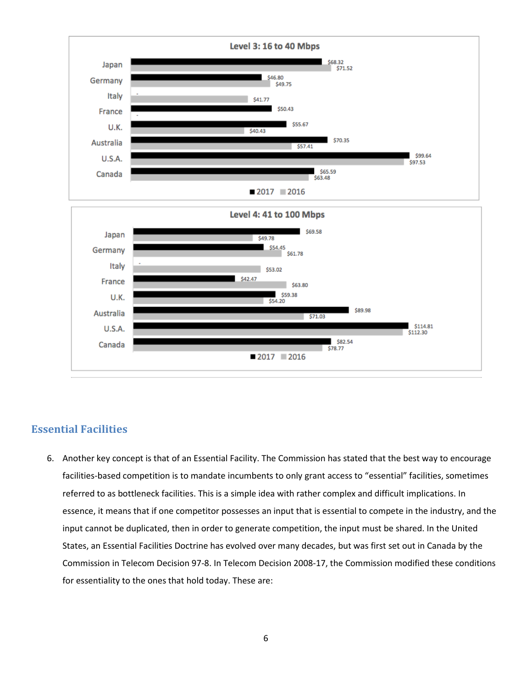

### <span id="page-5-0"></span>**Essential Facilities**

6. Another key concept is that of an Essential Facility. The Commission has stated that the best way to encourage facilities-based competition is to mandate incumbents to only grant access to "essential" facilities, sometimes referred to as bottleneck facilities. This is a simple idea with rather complex and difficult implications. In essence, it means that if one competitor possesses an input that is essential to compete in the industry, and the input cannot be duplicated, then in order to generate competition, the input must be shared. In the United States, an Essential Facilities Doctrine has evolved over many decades, but was first set out in Canada by the Commission in Telecom Decision 97-8. In Telecom Decision 2008-17, the Commission modified these conditions for essentiality to the ones that hold today. These are: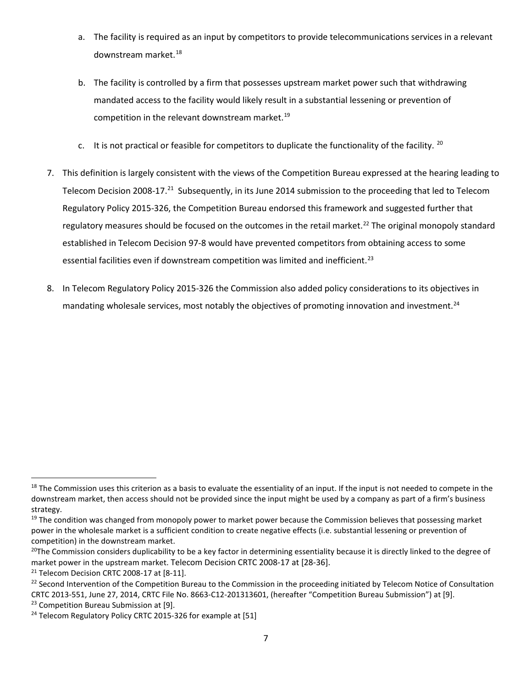- a. The facility is required as an input by competitors to provide telecommunications services in a relevant downstream market. [18](#page-6-0)
- b. The facility is controlled by a firm that possesses upstream market power such that withdrawing mandated access to the facility would likely result in a substantial lessening or prevention of competition in the relevant downstream market.<sup>[19](#page-6-1)</sup>
- c. It is not practical or feasible for competitors to duplicate the functionality of the facility.  $^{20}$  $^{20}$  $^{20}$
- 7. This definition is largely consistent with the views of the Competition Bureau expressed at the hearing leading to Telecom Decision 2008-17.<sup>21</sup> Subsequently, in its June 2014 submission to the proceeding that led to Telecom Regulatory Policy 2015-326, the Competition Bureau endorsed this framework and suggested further that regulatory measures should be focused on the outcomes in the retail market.<sup>[22](#page-6-4)</sup> The original monopoly standard established in Telecom Decision 97-8 would have prevented competitors from obtaining access to some essential facilities even if downstream competition was limited and inefficient.<sup>[23](#page-6-5)</sup>
- 8. In Telecom Regulatory Policy 2015-326 the Commission also added policy considerations to its objectives in mandating wholesale services, most notably the objectives of promoting innovation and investment.<sup>[24](#page-6-6)</sup>

<span id="page-6-0"></span> $18$  The Commission uses this criterion as a basis to evaluate the essentiality of an input. If the input is not needed to compete in the downstream market, then access should not be provided since the input might be used by a company as part of a firm's business strategy.

<span id="page-6-1"></span><sup>&</sup>lt;sup>19</sup> The condition was changed from monopoly power to market power because the Commission believes that possessing market power in the wholesale market is a sufficient condition to create negative effects (i.e. substantial lessening or prevention of competition) in the downstream market.

<span id="page-6-2"></span> $^{20}$ The Commission considers duplicability to be a key factor in determining essentiality because it is directly linked to the degree of market power in the upstream market. Telecom Decision CRTC 2008-17 at [28-36].

<span id="page-6-3"></span><sup>&</sup>lt;sup>21</sup> Telecom Decision CRTC 2008-17 at [8-11].

<span id="page-6-4"></span><sup>&</sup>lt;sup>22</sup> Second Intervention of the Competition Bureau to the Commission in the proceeding initiated by Telecom Notice of Consultation CRTC 2013-551, June 27, 2014, CRTC File No. 8663-C12-201313601, (hereafter "Competition Bureau Submission") at [9].

<span id="page-6-5"></span><sup>&</sup>lt;sup>23</sup> Competition Bureau Submission at [9].

<span id="page-6-6"></span><sup>&</sup>lt;sup>24</sup> Telecom Regulatory Policy CRTC 2015-326 for example at [51]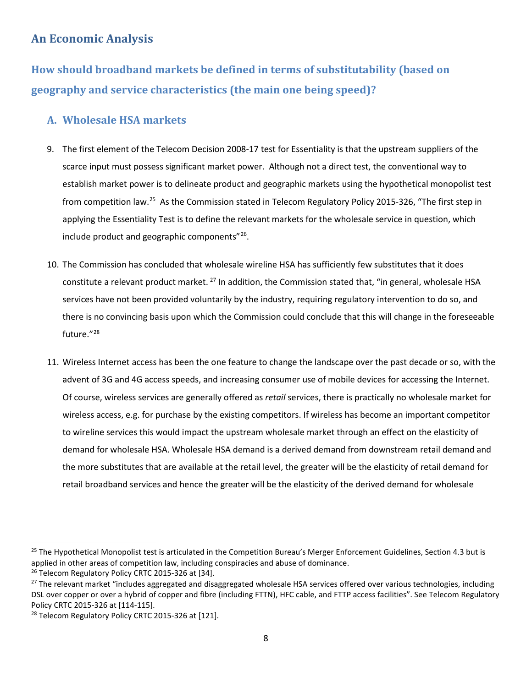## <span id="page-7-0"></span>**An Economic Analysis**

<span id="page-7-1"></span>**How should broadband markets be defined in terms of substitutability (based on geography and service characteristics (the main one being speed)?**

## <span id="page-7-2"></span>**A. Wholesale HSA markets**

- 9. The first element of the Telecom Decision 2008-17 test for Essentiality is that the upstream suppliers of the scarce input must possess significant market power. Although not a direct test, the conventional way to establish market power is to delineate product and geographic markets using the hypothetical monopolist test from competition law.<sup>[25](#page-7-3)</sup> As the Commission stated in Telecom Regulatory Policy 2015-326, "The first step in applying the Essentiality Test is to define the relevant markets for the wholesale service in question, which include product and geographic components"[26](#page-7-4).
- 10. The Commission has concluded that wholesale wireline HSA has sufficiently few substitutes that it does constitute a relevant product market. <sup>[27](#page-7-5)</sup> In addition, the Commission stated that, "in general, wholesale HSA services have not been provided voluntarily by the industry, requiring regulatory intervention to do so, and there is no convincing basis upon which the Commission could conclude that this will change in the foreseeable future."<sup>[28](#page-7-6)</sup>
- 11. Wireless Internet access has been the one feature to change the landscape over the past decade or so, with the advent of 3G and 4G access speeds, and increasing consumer use of mobile devices for accessing the Internet. Of course, wireless services are generally offered as *retail* services, there is practically no wholesale market for wireless access, e.g. for purchase by the existing competitors. If wireless has become an important competitor to wireline services this would impact the upstream wholesale market through an effect on the elasticity of demand for wholesale HSA. Wholesale HSA demand is a derived demand from downstream retail demand and the more substitutes that are available at the retail level, the greater will be the elasticity of retail demand for retail broadband services and hence the greater will be the elasticity of the derived demand for wholesale

<span id="page-7-3"></span><sup>&</sup>lt;sup>25</sup> The Hypothetical Monopolist test is articulated in the Competition Bureau's Merger Enforcement Guidelines, Section 4.3 but is applied in other areas of competition law, including conspiracies and abuse of dominance.

<span id="page-7-4"></span><sup>&</sup>lt;sup>26</sup> Telecom Regulatory Policy CRTC 2015-326 at [34].

<span id="page-7-5"></span><sup>&</sup>lt;sup>27</sup> The relevant market "includes aggregated and disaggregated wholesale HSA services offered over various technologies, including DSL over copper or over a hybrid of copper and fibre (including FTTN), HFC cable, and FTTP access facilities". See Telecom Regulatory Policy CRTC 2015-326 at [114-115].

<span id="page-7-6"></span><sup>&</sup>lt;sup>28</sup> Telecom Regulatory Policy CRTC 2015-326 at [121].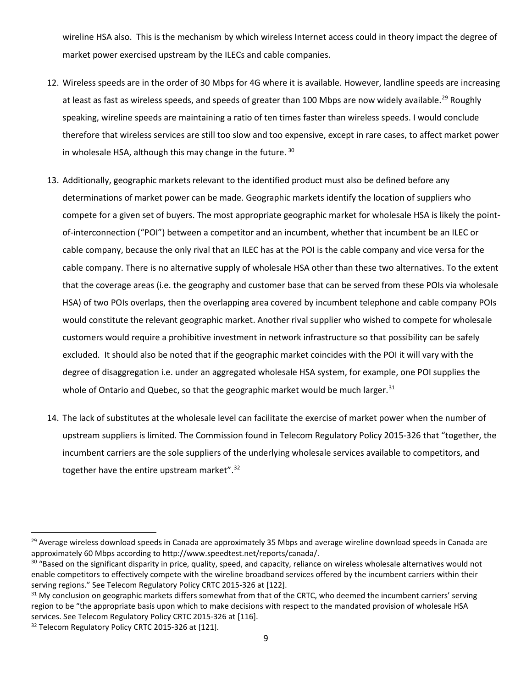wireline HSA also. This is the mechanism by which wireless Internet access could in theory impact the degree of market power exercised upstream by the ILECs and cable companies.

- 12. Wireless speeds are in the order of 30 Mbps for 4G where it is available. However, landline speeds are increasing at least as fast as wireless speeds, and speeds of greater than 100 Mbps are now widely available.<sup>[29](#page-8-0)</sup> Roughly speaking, wireline speeds are maintaining a ratio of ten times faster than wireless speeds. I would conclude therefore that wireless services are still too slow and too expensive, except in rare cases, to affect market power in wholesale HSA, although this may change in the future. [30](#page-8-1)
- 13. Additionally, geographic markets relevant to the identified product must also be defined before any determinations of market power can be made. Geographic markets identify the location of suppliers who compete for a given set of buyers. The most appropriate geographic market for wholesale HSA is likely the pointof-interconnection ("POI") between a competitor and an incumbent, whether that incumbent be an ILEC or cable company, because the only rival that an ILEC has at the POI is the cable company and vice versa for the cable company. There is no alternative supply of wholesale HSA other than these two alternatives. To the extent that the coverage areas (i.e. the geography and customer base that can be served from these POIs via wholesale HSA) of two POIs overlaps, then the overlapping area covered by incumbent telephone and cable company POIs would constitute the relevant geographic market. Another rival supplier who wished to compete for wholesale customers would require a prohibitive investment in network infrastructure so that possibility can be safely excluded. It should also be noted that if the geographic market coincides with the POI it will vary with the degree of disaggregation i.e. under an aggregated wholesale HSA system, for example, one POI supplies the whole of Ontario and Quebec, so that the geographic market would be much larger.<sup>[31](#page-8-2)</sup>
- 14. The lack of substitutes at the wholesale level can facilitate the exercise of market power when the number of upstream suppliers is limited. The Commission found in Telecom Regulatory Policy 2015-326 that "together, the incumbent carriers are the sole suppliers of the underlying wholesale services available to competitors, and together have the entire upstream market".<sup>32</sup>

<span id="page-8-0"></span><sup>&</sup>lt;sup>29</sup> Average wireless download speeds in Canada are approximately 35 Mbps and average wireline download speeds in Canada are approximately 60 Mbps according to http://www.speedtest.net/reports/canada/.

<span id="page-8-1"></span><sup>&</sup>lt;sup>30</sup> "Based on the significant disparity in price, quality, speed, and capacity, reliance on wireless wholesale alternatives would not enable competitors to effectively compete with the wireline broadband services offered by the incumbent carriers within their serving regions." See Telecom Regulatory Policy CRTC 2015-326 at [122].

<span id="page-8-2"></span><sup>&</sup>lt;sup>31</sup> My conclusion on geographic markets differs somewhat from that of the CRTC, who deemed the incumbent carriers' serving region to be "the appropriate basis upon which to make decisions with respect to the mandated provision of wholesale HSA services. See Telecom Regulatory Policy CRTC 2015-326 at [116].

<span id="page-8-3"></span><sup>&</sup>lt;sup>32</sup> Telecom Regulatory Policy CRTC 2015-326 at [121].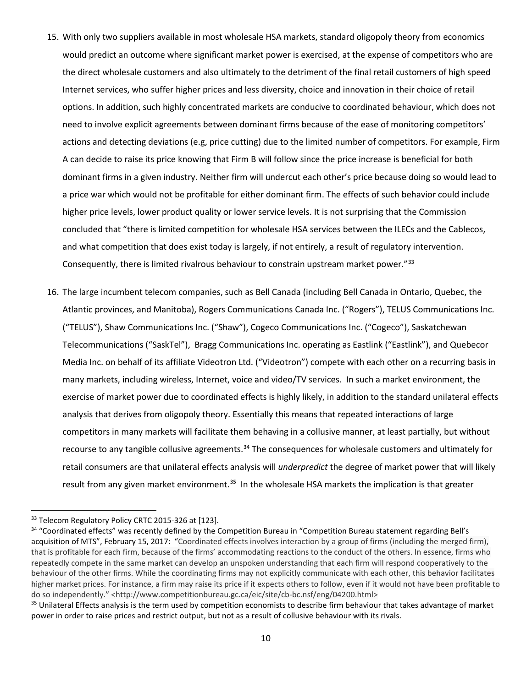- 15. With only two suppliers available in most wholesale HSA markets, standard oligopoly theory from economics would predict an outcome where significant market power is exercised, at the expense of competitors who are the direct wholesale customers and also ultimately to the detriment of the final retail customers of high speed Internet services, who suffer higher prices and less diversity, choice and innovation in their choice of retail options. In addition, such highly concentrated markets are conducive to coordinated behaviour, which does not need to involve explicit agreements between dominant firms because of the ease of monitoring competitors' actions and detecting deviations (e.g, price cutting) due to the limited number of competitors. For example, Firm A can decide to raise its price knowing that Firm B will follow since the price increase is beneficial for both dominant firms in a given industry. Neither firm will undercut each other's price because doing so would lead to a price war which would not be profitable for either dominant firm. The effects of such behavior could include higher price levels, lower product quality or lower service levels. It is not surprising that the Commission concluded that "there is limited competition for wholesale HSA services between the ILECs and the Cablecos, and what competition that does exist today is largely, if not entirely, a result of regulatory intervention. Consequently, there is limited rivalrous behaviour to constrain upstream market power."[33](#page-9-0)
- 16. The large incumbent telecom companies, such as Bell Canada (including Bell Canada in Ontario, Quebec, the Atlantic provinces, and Manitoba), Rogers Communications Canada Inc. ("Rogers"), TELUS Communications Inc. ("TELUS"), Shaw Communications Inc. ("Shaw"), Cogeco Communications Inc. ("Cogeco"), Saskatchewan Telecommunications ("SaskTel"), Bragg Communications Inc. operating as Eastlink ("Eastlink"), and Quebecor Media Inc. on behalf of its affiliate Videotron Ltd. ("Videotron") compete with each other on a recurring basis in many markets, including wireless, Internet, voice and video/TV services. In such a market environment, the exercise of market power due to coordinated effects is highly likely, in addition to the standard unilateral effects analysis that derives from oligopoly theory. Essentially this means that repeated interactions of large competitors in many markets will facilitate them behaving in a collusive manner, at least partially, but without recourse to any tangible collusive agreements.<sup>34</sup> The consequences for wholesale customers and ultimately for retail consumers are that unilateral effects analysis will *underpredict* the degree of market power that will likely result from any given market environment.<sup>[35](#page-9-2)</sup> In the wholesale HSA markets the implication is that greater

<span id="page-9-0"></span><sup>&</sup>lt;sup>33</sup> Telecom Regulatory Policy CRTC 2015-326 at [123].

<span id="page-9-1"></span><sup>&</sup>lt;sup>34</sup> "Coordinated effects" was recently defined by the Competition Bureau in "Competition Bureau statement regarding Bell's acquisition of MTS", February 15, 2017: "Coordinated effects involves interaction by a group of firms (including the merged firm), that is profitable for each firm, because of the firms' accommodating reactions to the conduct of the others. In essence, firms who repeatedly compete in the same market can develop an unspoken understanding that each firm will respond cooperatively to the behaviour of the other firms. While the coordinating firms may not explicitly communicate with each other, this behavior facilitates higher market prices. For instance, a firm may raise its price if it expects others to follow, even if it would not have been profitable to do so independently." <http://www.competitionbureau.gc.ca/eic/site/cb-bc.nsf/eng/04200.html>

<span id="page-9-2"></span><sup>&</sup>lt;sup>35</sup> Unilateral Effects analysis is the term used by competition economists to describe firm behaviour that takes advantage of market power in order to raise prices and restrict output, but not as a result of collusive behaviour with its rivals.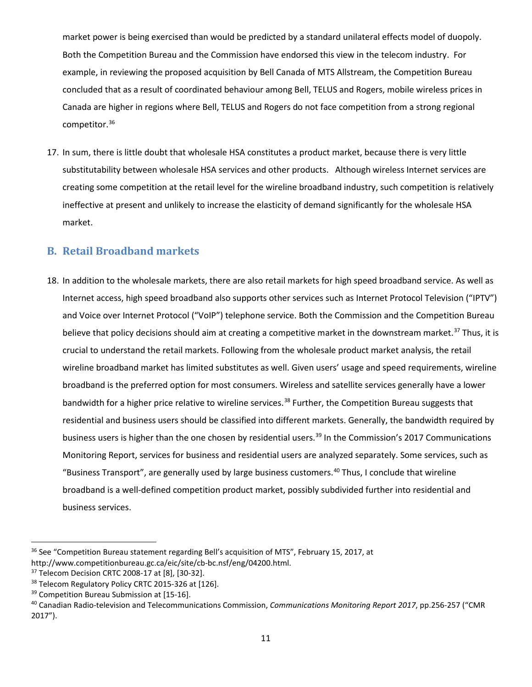market power is being exercised than would be predicted by a standard unilateral effects model of duopoly. Both the Competition Bureau and the Commission have endorsed this view in the telecom industry. For example, in reviewing the proposed acquisition by Bell Canada of MTS Allstream, the Competition Bureau concluded that as a result of coordinated behaviour among Bell, TELUS and Rogers, mobile wireless prices in Canada are higher in regions where Bell, TELUS and Rogers do not face competition from a strong regional competitor.[36](#page-10-1)

17. In sum, there is little doubt that wholesale HSA constitutes a product market, because there is very little substitutability between wholesale HSA services and other products. Although wireless Internet services are creating some competition at the retail level for the wireline broadband industry, such competition is relatively ineffective at present and unlikely to increase the elasticity of demand significantly for the wholesale HSA market.

## <span id="page-10-0"></span>**B. Retail Broadband markets**

18. In addition to the wholesale markets, there are also retail markets for high speed broadband service. As well as Internet access, high speed broadband also supports other services such as Internet Protocol Television ("IPTV") and Voice over Internet Protocol ("VoIP") telephone service. Both the Commission and the Competition Bureau believe that policy decisions should aim at creating a competitive market in the downstream market.<sup>[37](#page-10-2)</sup> Thus, it is crucial to understand the retail markets. Following from the wholesale product market analysis, the retail wireline broadband market has limited substitutes as well. Given users' usage and speed requirements, wireline broadband is the preferred option for most consumers. Wireless and satellite services generally have a lower bandwidth for a higher price relative to wireline services.<sup>[38](#page-10-3)</sup> Further, the Competition Bureau suggests that residential and business users should be classified into different markets. Generally, the bandwidth required by business users is higher than the one chosen by residential users.<sup>[39](#page-10-4)</sup> In the Commission's 2017 Communications Monitoring Report, services for business and residential users are analyzed separately. Some services, such as "Business Transport", are generally used by large business customers.<sup>[40](#page-10-5)</sup> Thus, I conclude that wireline broadband is a well-defined competition product market, possibly subdivided further into residential and business services.

<span id="page-10-1"></span><sup>&</sup>lt;sup>36</sup> See "Competition Bureau statement regarding Bell's acquisition of MTS", February 15, 2017, at http://www.competitionbureau.gc.ca/eic/site/cb-bc.nsf/eng/04200.html.

<span id="page-10-3"></span><span id="page-10-2"></span><sup>&</sup>lt;sup>37</sup> Telecom Decision CRTC 2008-17 at [8], [30-32].<br><sup>38</sup> Telecom Regulatory Policy CRTC 2015-326 at [126].<br><sup>39</sup> Competition Bureau Submission at [15-16].

<span id="page-10-5"></span><span id="page-10-4"></span><sup>40</sup> Canadian Radio-television and Telecommunications Commission, *Communications Monitoring Report 2017*, pp.256-257 ("CMR 2017").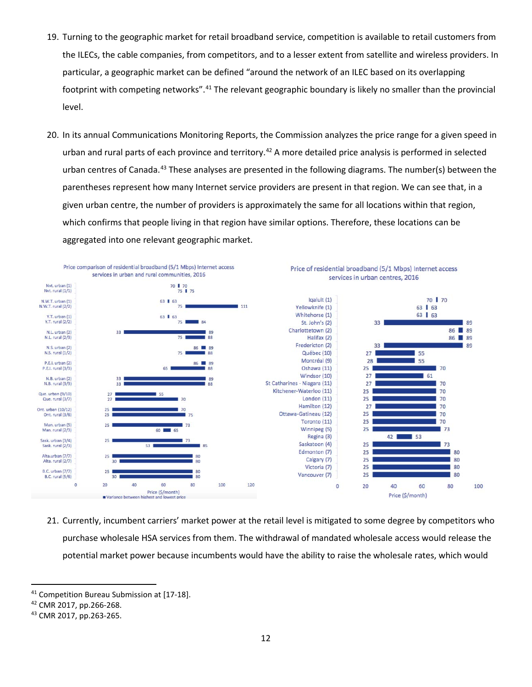- 19. Turning to the geographic market for retail broadband service, competition is available to retail customers from the ILECs, the cable companies, from competitors, and to a lesser extent from satellite and wireless providers. In particular, a geographic market can be defined "around the network of an ILEC based on its overlapping footprint with competing networks".<sup>[41](#page-11-0)</sup> The relevant geographic boundary is likely no smaller than the provincial level.
- 20. In its annual Communications Monitoring Reports, the Commission analyzes the price range for a given speed in urban and rural parts of each province and territory.<sup>[42](#page-11-1)</sup> A more detailed price analysis is performed in selected urban centres of Canada.<sup>[43](#page-11-2)</sup> These analyses are presented in the following diagrams. The number(s) between the parentheses represent how many Internet service providers are present in that region. We can see that, in a given urban centre, the number of providers is approximately the same for all locations within that region, which confirms that people living in that region have similar options. Therefore, these locations can be aggregated into one relevant geographic market.



21. Currently, incumbent carriers' market power at the retail level is mitigated to some degree by competitors who purchase wholesale HSA services from them. The withdrawal of mandated wholesale access would release the potential market power because incumbents would have the ability to raise the wholesale rates, which would

<span id="page-11-0"></span><sup>&</sup>lt;sup>41</sup> Competition Bureau Submission at [17-18].

<span id="page-11-1"></span><sup>42</sup> CMR 2017, pp.266-268.

<span id="page-11-2"></span><sup>43</sup> CMR 2017, pp.263-265.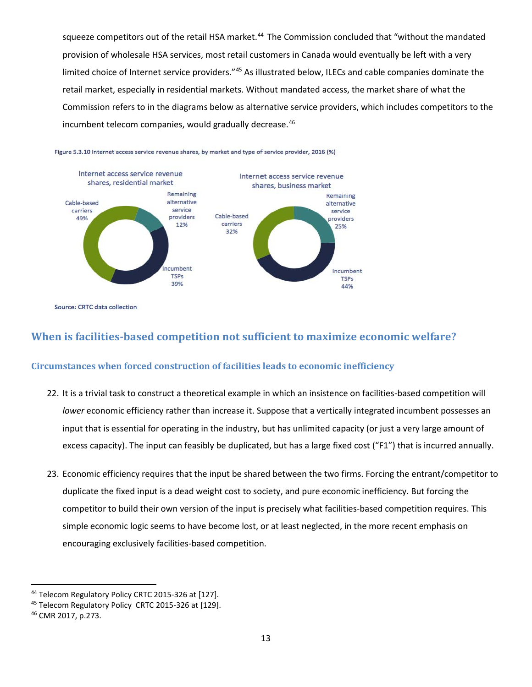squeeze competitors out of the retail HSA market.<sup>[44](#page-12-2)</sup> The Commission concluded that "without the mandated provision of wholesale HSA services, most retail customers in Canada would eventually be left with a very limited choice of Internet service providers."[45](#page-12-3) As illustrated below, ILECs and cable companies dominate the retail market, especially in residential markets. Without mandated access, the market share of what the Commission refers to in the diagrams below as alternative service providers, which includes competitors to the incumbent telecom companies, would gradually decrease.<sup>[46](#page-12-4)</sup>



Figure 5.3.10 Internet access service revenue shares, by market and type of service provider, 2016 (%)

Source: CRTC data collection

### <span id="page-12-0"></span>**When is facilities-based competition not sufficient to maximize economic welfare?**

#### <span id="page-12-1"></span>**Circumstances when forced construction of facilities leads to economic inefficiency**

- 22. It is a trivial task to construct a theoretical example in which an insistence on facilities-based competition will *lower* economic efficiency rather than increase it. Suppose that a vertically integrated incumbent possesses an input that is essential for operating in the industry, but has unlimited capacity (or just a very large amount of excess capacity). The input can feasibly be duplicated, but has a large fixed cost ("F1") that is incurred annually.
- 23. Economic efficiency requires that the input be shared between the two firms. Forcing the entrant/competitor to duplicate the fixed input is a dead weight cost to society, and pure economic inefficiency. But forcing the competitor to build their own version of the input is precisely what facilities-based competition requires. This simple economic logic seems to have become lost, or at least neglected, in the more recent emphasis on encouraging exclusively facilities-based competition.

<span id="page-12-2"></span><sup>&</sup>lt;sup>44</sup> Telecom Regulatory Policy CRTC 2015-326 at [127].

<span id="page-12-3"></span><sup>&</sup>lt;sup>45</sup> Telecom Regulatory Policy CRTC 2015-326 at [129].

<span id="page-12-4"></span><sup>46</sup> CMR 2017, p.273.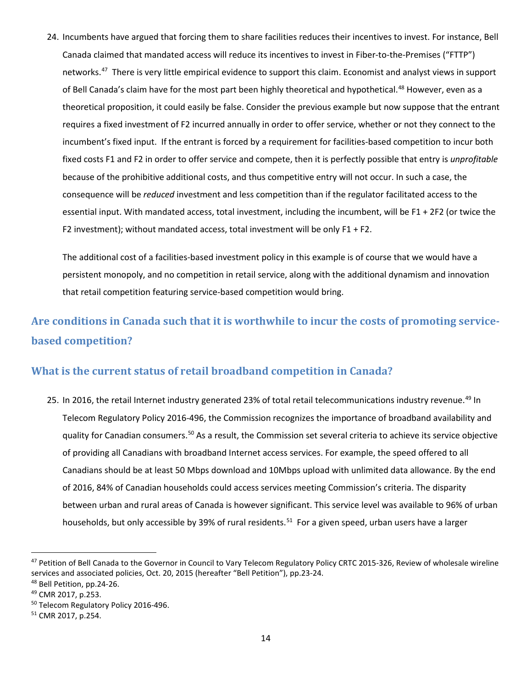24. Incumbents have argued that forcing them to share facilities reduces their incentives to invest. For instance, Bell Canada claimed that mandated access will reduce its incentives to invest in Fiber-to-the-Premises ("FTTP") networks.[47](#page-13-2) There is very little empirical evidence to support this claim. Economist and analyst views in support of Bell Canada's claim have for the most part been highly theoretical and hypothetical.<sup>[48](#page-13-3)</sup> However, even as a theoretical proposition, it could easily be false. Consider the previous example but now suppose that the entrant requires a fixed investment of F2 incurred annually in order to offer service, whether or not they connect to the incumbent's fixed input. If the entrant is forced by a requirement for facilities-based competition to incur both fixed costs F1 and F2 in order to offer service and compete, then it is perfectly possible that entry is *unprofitable*  because of the prohibitive additional costs, and thus competitive entry will not occur. In such a case, the consequence will be *reduced* investment and less competition than if the regulator facilitated access to the essential input. With mandated access, total investment, including the incumbent, will be F1 + 2F2 (or twice the F2 investment); without mandated access, total investment will be only F1 + F2.

The additional cost of a facilities-based investment policy in this example is of course that we would have a persistent monopoly, and no competition in retail service, along with the additional dynamism and innovation that retail competition featuring service-based competition would bring.

# <span id="page-13-0"></span>**Are conditions in Canada such that it is worthwhile to incur the costs of promoting servicebased competition?**

## <span id="page-13-1"></span>**What is the current status of retail broadband competition in Canada?**

25. In 2016, the retail Internet industry generated 23% of total retail telecommunications industry revenue.<sup>[49](#page-13-4)</sup> In Telecom Regulatory Policy 2016-496, the Commission recognizes the importance of broadband availability and quality for Canadian consumers[.50](#page-13-5) As a result, the Commission set several criteria to achieve its service objective of providing all Canadians with broadband Internet access services. For example, the speed offered to all Canadians should be at least 50 Mbps download and 10Mbps upload with unlimited data allowance. By the end of 2016, 84% of Canadian households could access services meeting Commission's criteria. The disparity between urban and rural areas of Canada is however significant. This service level was available to 96% of urban households, but only accessible by 39% of rural residents.<sup>51</sup> For a given speed, urban users have a larger

<span id="page-13-2"></span><sup>47</sup> Petition of Bell Canada to the Governor in Council to Vary Telecom Regulatory Policy CRTC 2015-326, Review of wholesale wireline services and associated policies, Oct. 20, 2015 (hereafter "Bell Petition"), pp.23-24.

<span id="page-13-3"></span><sup>48</sup> Bell Petition, pp.24-26.

<span id="page-13-4"></span><sup>49</sup> CMR 2017, p.253.

<span id="page-13-5"></span><sup>&</sup>lt;sup>50</sup> Telecom Regulatory Policy 2016-496.

<span id="page-13-6"></span><sup>51</sup> CMR 2017, p.254.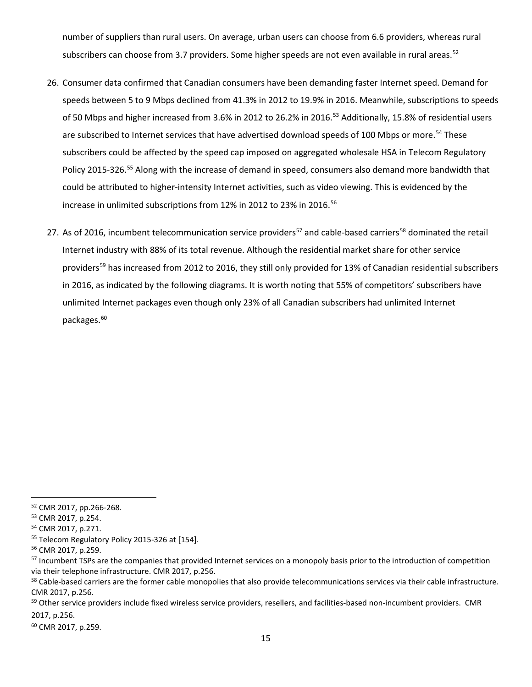number of suppliers than rural users. On average, urban users can choose from 6.6 providers, whereas rural subscribers can choose from 3.7 providers. Some higher speeds are not even available in rural areas.  $52$ 

- 26. Consumer data confirmed that Canadian consumers have been demanding faster Internet speed. Demand for speeds between 5 to 9 Mbps declined from 41.3% in 2012 to 19.9% in 2016. Meanwhile, subscriptions to speeds of 50 Mbps and higher increased from 3.6% in 2012 to 26.2% in 2016.<sup>[53](#page-14-1)</sup> Additionally, 15.8% of residential users are subscribed to Internet services that have advertised download speeds of 100 Mbps or more.<sup>[54](#page-14-2)</sup> These subscribers could be affected by the speed cap imposed on aggregated wholesale HSA in Telecom Regulatory Policy 2015-326.[55](#page-14-3) Along with the increase of demand in speed, consumers also demand more bandwidth that could be attributed to higher-intensity Internet activities, such as video viewing. This is evidenced by the increase in unlimited subscriptions from 12% in 2012 to 23% in 2016.<sup>[56](#page-14-4)</sup>
- 27. As of 2016, incumbent telecommunication service providers<sup>[57](#page-14-5)</sup> and cable-based carriers<sup>[58](#page-14-6)</sup> dominated the retail Internet industry with 88% of its total revenue. Although the residential market share for other service providers<sup>[59](#page-14-7)</sup> has increased from 2012 to 2016, they still only provided for 13% of Canadian residential subscribers in 2016, as indicated by the following diagrams. It is worth noting that 55% of competitors' subscribers have unlimited Internet packages even though only 23% of all Canadian subscribers had unlimited Internet packages. [60](#page-14-8)

<span id="page-14-8"></span><sup>60</sup> CMR 2017, p.259.

<span id="page-14-0"></span> <sup>52</sup> CMR 2017, pp.266-268.

<span id="page-14-1"></span><sup>53</sup> CMR 2017, p.254.

<span id="page-14-2"></span><sup>54</sup> CMR 2017, p.271.

<span id="page-14-3"></span><sup>55</sup> Telecom Regulatory Policy 2015-326 at [154].

<span id="page-14-4"></span><sup>56</sup> CMR 2017, p.259.

<span id="page-14-5"></span><sup>&</sup>lt;sup>57</sup> Incumbent TSPs are the companies that provided Internet services on a monopoly basis prior to the introduction of competition via their telephone infrastructure. CMR 2017, p.256.

<span id="page-14-6"></span><sup>&</sup>lt;sup>58</sup> Cable-based carriers are the former cable monopolies that also provide telecommunications services via their cable infrastructure. CMR 2017, p.256.

<span id="page-14-7"></span><sup>&</sup>lt;sup>59</sup> Other service providers include fixed wireless service providers, resellers, and facilities-based non-incumbent providers. CMR 2017, p.256.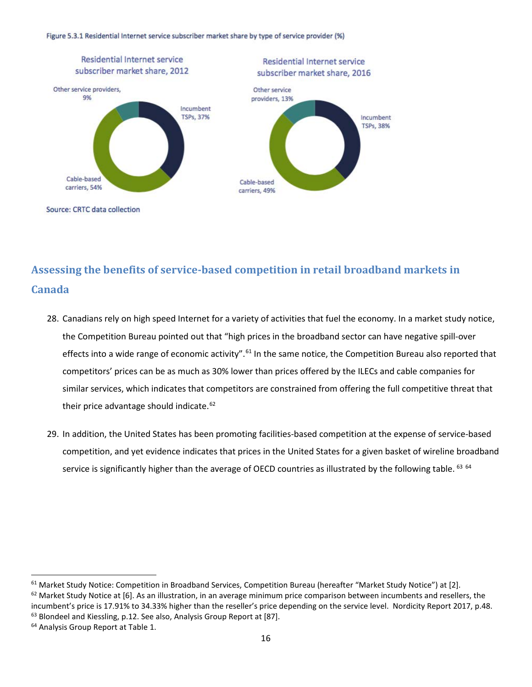Figure 5.3.1 Residential Internet service subscriber market share by type of service provider (%)



Source: CRTC data collection

# <span id="page-15-0"></span>**Assessing the benefits of service-based competition in retail broadband markets in Canada**

- 28. Canadians rely on high speed Internet for a variety of activities that fuel the economy. In a market study notice, the Competition Bureau pointed out that "high prices in the broadband sector can have negative spill-over effects into a wide range of economic activity".<sup>[61](#page-15-1)</sup> In the same notice, the Competition Bureau also reported that competitors' prices can be as much as 30% lower than prices offered by the ILECs and cable companies for similar services, which indicates that competitors are constrained from offering the full competitive threat that their price advantage should indicate.<sup>[62](#page-15-2)</sup>
- 29. In addition, the United States has been promoting facilities-based competition at the expense of service-based competition, and yet evidence indicates that prices in the United States for a given basket of wireline broadband service is significantly higher than the average of OECD countries as illustrated by the following table. <sup>[63](#page-15-3)</sup> [64](#page-15-4)

<span id="page-15-3"></span>incumbent's price is 17.91% to 34.33% higher than the reseller's price depending on the service level. Nordicity Report 2017, p.48. 63 Blondeel and Kiessling, p.12. See also, Analysis Group Report at [87].

<span id="page-15-2"></span><span id="page-15-1"></span><sup>&</sup>lt;sup>61</sup> Market Study Notice: Competition in Broadband Services, Competition Bureau (hereafter "Market Study Notice") at [2].  $62$  Market Study Notice at [6]. As an illustration, in an average minimum price comparison between incumbents and resellers, the

<span id="page-15-4"></span><sup>&</sup>lt;sup>64</sup> Analysis Group Report at Table 1.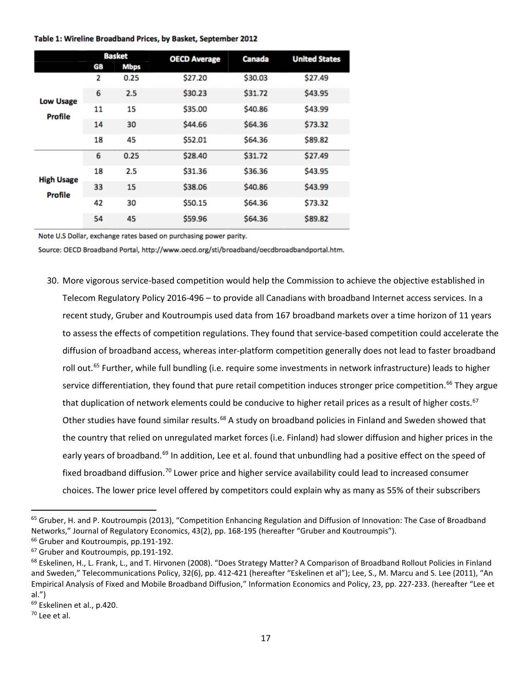#### Table 1: Wireline Broadband Prices, by Basket, September 2012

|                              | <b>Basket</b> |             | <b>OECD Average</b> | Canada  | <b>United States</b> |
|------------------------------|---------------|-------------|---------------------|---------|----------------------|
|                              | GB            | <b>Mbps</b> |                     |         |                      |
| <b>Low Usage</b><br>Profile  | 2             | 0.25        | \$27.20             | \$30.03 | \$27.49              |
|                              | 6             | 2.5         | \$30.23             | \$31.72 | \$43.95              |
|                              | 11            | 15          | \$35.00             | \$40.86 | \$43.99              |
|                              | 14            | 30          | \$44.66             | \$64.36 | \$73.32              |
|                              | 18            | 45          | \$52.01             | \$64.36 | \$89.82              |
| <b>High Usage</b><br>Profile | 6             | 0.25        | \$28.40             | \$31.72 | \$27.49              |
|                              | 18            | 2.5         | \$31.36             | \$36.36 | \$43.95              |
|                              | 33            | 15          | \$38.06             | \$40.86 | \$43.99              |
|                              | 42            | 30          | \$50.15             | \$64.36 | \$73.32              |
|                              | 54            | 45          | \$59.96             | \$64.36 | \$89.82              |

Note U.S Dollar, exchange rates based on purchasing power parity.

Source: OECD Broadband Portal, http://www.oecd.org/sti/broadband/oecdbroadbandportal.htm.

30. More vigorous service-based competition would help the Commission to achieve the objective established in Telecom Regulatory Policy 2016-496 – to provide all Canadians with broadband Internet access services. In a recent study, Gruber and Koutroumpis used data from 167 broadband markets over a time horizon of 11 years to assess the effects of competition regulations. They found that service-based competition could accelerate the diffusion of broadband access, whereas inter-platform competition generally does not lead to faster broadband roll out.<sup>[65](#page-16-0)</sup> Further, while full bundling (i.e. require some investments in network infrastructure) leads to higher service differentiation, they found that pure retail competition induces stronger price competition.<sup>[66](#page-16-1)</sup> They argue that duplication of network elements could be conducive to higher retail prices as a result of higher costs.<sup>[67](#page-16-2)</sup> Other studies have found similar results.<sup>[68](#page-16-3)</sup> A study on broadband policies in Finland and Sweden showed that the country that relied on unregulated market forces (i.e. Finland) had slower diffusion and higher prices in the early years of broadband.<sup>[69](#page-16-4)</sup> In addition, Lee et al. found that unbundling had a positive effect on the speed of fixed broadband diffusion.<sup>[70](#page-16-5)</sup> Lower price and higher service availability could lead to increased consumer choices. The lower price level offered by competitors could explain why as many as 55% of their subscribers

<span id="page-16-0"></span><sup>&</sup>lt;sup>65</sup> Gruber, H. and P. Koutroumpis (2013), "Competition Enhancing Regulation and Diffusion of Innovation: The Case of Broadband Networks," Journal of Regulatory Economics, 43(2), pp. 168-195 (hereafter "Gruber and Koutroumpis").

<span id="page-16-1"></span><sup>&</sup>lt;sup>66</sup> Gruber and Koutroumpis, pp.191-192. <sup>67</sup> Gruber and Koutroumpis, pp.191-192.

<span id="page-16-3"></span><span id="page-16-2"></span><sup>&</sup>lt;sup>68</sup> Eskelinen, H., L. Frank, L., and T. Hirvonen (2008). "Does Strategy Matter? A Comparison of Broadband Rollout Policies in Finland and Sweden," Telecommunications Policy, 32(6), pp. 412-421 (hereafter "Eskelinen et al"); Lee, S., M. Marcu and S. Lee (2011), "An Empirical Analysis of Fixed and Mobile Broadband Diffusion," Information Economics and Policy, 23, pp. 227-233. (hereafter "Lee et

al.")

<span id="page-16-4"></span><sup>69</sup> Eskelinen et al., p.420.

<span id="page-16-5"></span><sup>70</sup> Lee et al.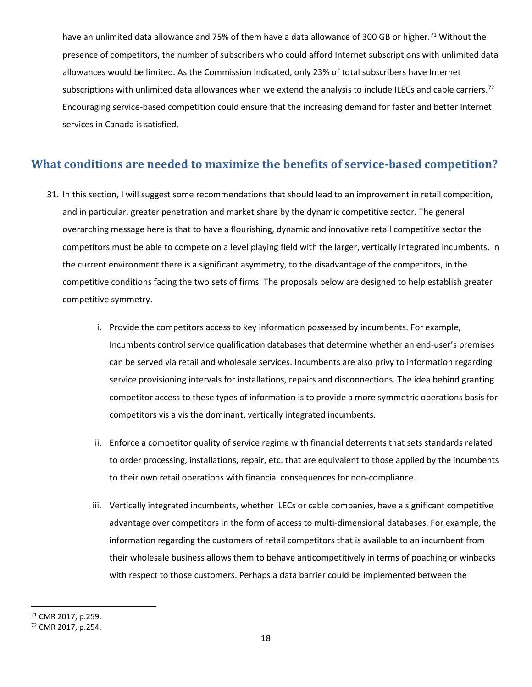have an unlimited data allowance and 75% of them have a data allowance of 300 GB or higher.<sup>[71](#page-17-1)</sup> Without the presence of competitors, the number of subscribers who could afford Internet subscriptions with unlimited data allowances would be limited. As the Commission indicated, only 23% of total subscribers have Internet subscriptions with unlimited data allowances when we extend the analysis to include ILECs and cable carriers.<sup>[72](#page-17-2)</sup> Encouraging service-based competition could ensure that the increasing demand for faster and better Internet services in Canada is satisfied.

## <span id="page-17-0"></span>**What conditions are needed to maximize the benefits of service-based competition?**

- 31. In this section, I will suggest some recommendations that should lead to an improvement in retail competition, and in particular, greater penetration and market share by the dynamic competitive sector. The general overarching message here is that to have a flourishing, dynamic and innovative retail competitive sector the competitors must be able to compete on a level playing field with the larger, vertically integrated incumbents. In the current environment there is a significant asymmetry, to the disadvantage of the competitors, in the competitive conditions facing the two sets of firms. The proposals below are designed to help establish greater competitive symmetry.
	- i. Provide the competitors access to key information possessed by incumbents. For example, Incumbents control service qualification databases that determine whether an end-user's premises can be served via retail and wholesale services. Incumbents are also privy to information regarding service provisioning intervals for installations, repairs and disconnections. The idea behind granting competitor access to these types of information is to provide a more symmetric operations basis for competitors vis a vis the dominant, vertically integrated incumbents.
	- ii. Enforce a competitor quality of service regime with financial deterrents that sets standards related to order processing, installations, repair, etc. that are equivalent to those applied by the incumbents to their own retail operations with financial consequences for non-compliance.
	- iii. Vertically integrated incumbents, whether ILECs or cable companies, have a significant competitive advantage over competitors in the form of access to multi-dimensional databases. For example, the information regarding the customers of retail competitors that is available to an incumbent from their wholesale business allows them to behave anticompetitively in terms of poaching or winbacks with respect to those customers. Perhaps a data barrier could be implemented between the

<span id="page-17-1"></span> <sup>71</sup> CMR 2017, p.259.

<span id="page-17-2"></span><sup>72</sup> CMR 2017, p.254.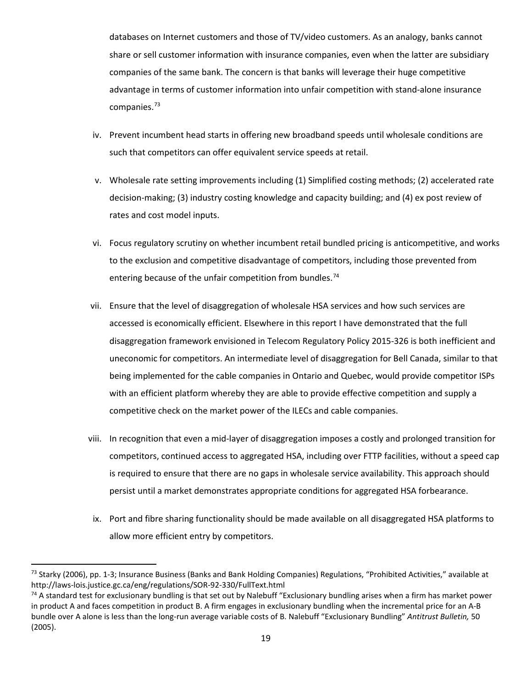databases on Internet customers and those of TV/video customers. As an analogy, banks cannot share or sell customer information with insurance companies, even when the latter are subsidiary companies of the same bank. The concern is that banks will leverage their huge competitive advantage in terms of customer information into unfair competition with stand-alone insurance companies.[73](#page-18-0)

- iv. Prevent incumbent head starts in offering new broadband speeds until wholesale conditions are such that competitors can offer equivalent service speeds at retail.
- v. Wholesale rate setting improvements including (1) Simplified costing methods; (2) accelerated rate decision-making; (3) industry costing knowledge and capacity building; and (4) ex post review of rates and cost model inputs.
- vi. Focus regulatory scrutiny on whether incumbent retail bundled pricing is anticompetitive, and works to the exclusion and competitive disadvantage of competitors, including those prevented from entering because of the unfair competition from bundles.<sup>[74](#page-18-1)</sup>
- vii. Ensure that the level of disaggregation of wholesale HSA services and how such services are accessed is economically efficient. Elsewhere in this report I have demonstrated that the full disaggregation framework envisioned in Telecom Regulatory Policy 2015-326 is both inefficient and uneconomic for competitors. An intermediate level of disaggregation for Bell Canada, similar to that being implemented for the cable companies in Ontario and Quebec, would provide competitor ISPs with an efficient platform whereby they are able to provide effective competition and supply a competitive check on the market power of the ILECs and cable companies.
- viii. In recognition that even a mid-layer of disaggregation imposes a costly and prolonged transition for competitors, continued access to aggregated HSA, including over FTTP facilities, without a speed cap is required to ensure that there are no gaps in wholesale service availability. This approach should persist until a market demonstrates appropriate conditions for aggregated HSA forbearance.
- ix. Port and fibre sharing functionality should be made available on all disaggregated HSA platforms to allow more efficient entry by competitors.

<span id="page-18-0"></span><sup>&</sup>lt;sup>73</sup> Starky (2006), pp. 1-3; Insurance Business (Banks and Bank Holding Companies) Regulations, "Prohibited Activities," available at http://laws-lois.justice.gc.ca/eng/regulations/SOR-92-330/FullText.html

<span id="page-18-1"></span> $74$  A standard test for exclusionary bundling is that set out by Nalebuff "Exclusionary bundling arises when a firm has market power in product A and faces competition in product B. A firm engages in exclusionary bundling when the incremental price for an A-B bundle over A alone is less than the long-run average variable costs of B. Nalebuff "Exclusionary Bundling" *Antitrust Bulletin,* 50 (2005).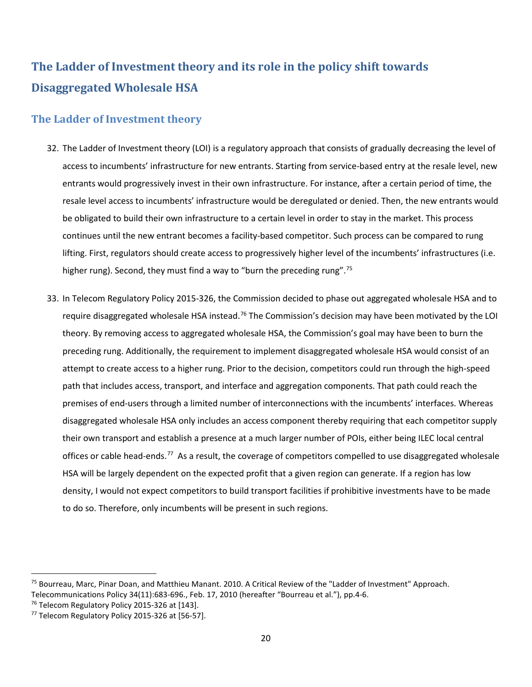# <span id="page-19-0"></span>**The Ladder of Investment theory and its role in the policy shift towards Disaggregated Wholesale HSA**

### <span id="page-19-1"></span>**The Ladder of Investment theory**

- 32. The Ladder of Investment theory (LOI) is a regulatory approach that consists of gradually decreasing the level of access to incumbents' infrastructure for new entrants. Starting from service-based entry at the resale level, new entrants would progressively invest in their own infrastructure. For instance, after a certain period of time, the resale level access to incumbents' infrastructure would be deregulated or denied. Then, the new entrants would be obligated to build their own infrastructure to a certain level in order to stay in the market. This process continues until the new entrant becomes a facility-based competitor. Such process can be compared to rung lifting. First, regulators should create access to progressively higher level of the incumbents' infrastructures (i.e. higher rung). Second, they must find a way to "burn the preceding rung".<sup>[75](#page-19-2)</sup>
- 33. In Telecom Regulatory Policy 2015-326, the Commission decided to phase out aggregated wholesale HSA and to require disaggregated wholesale HSA instead.<sup>[76](#page-19-3)</sup> The Commission's decision may have been motivated by the LOI theory. By removing access to aggregated wholesale HSA, the Commission's goal may have been to burn the preceding rung. Additionally, the requirement to implement disaggregated wholesale HSA would consist of an attempt to create access to a higher rung. Prior to the decision, competitors could run through the high-speed path that includes access, transport, and interface and aggregation components. That path could reach the premises of end-users through a limited number of interconnections with the incumbents' interfaces. Whereas disaggregated wholesale HSA only includes an access component thereby requiring that each competitor supply their own transport and establish a presence at a much larger number of POIs, either being ILEC local central offices or cable head-ends.<sup>77</sup> As a result, the coverage of competitors compelled to use disaggregated wholesale HSA will be largely dependent on the expected profit that a given region can generate. If a region has low density, I would not expect competitors to build transport facilities if prohibitive investments have to be made to do so. Therefore, only incumbents will be present in such regions.

<span id="page-19-2"></span> <sup>75</sup> Bourreau, Marc, Pinar Doan, and Matthieu Manant. 2010. A Critical Review of the "Ladder of Investment" Approach. Telecommunications Policy 34(11):683-696., Feb. 17, 2010 (hereafter "Bourreau et al."), pp.4-6.<br><sup>76</sup> Telecom Regulatory Policy 2015-326 at [143].<br><sup>77</sup> Telecom Regulatory Policy 2015-326 at [56-57].

<span id="page-19-3"></span>

<span id="page-19-4"></span>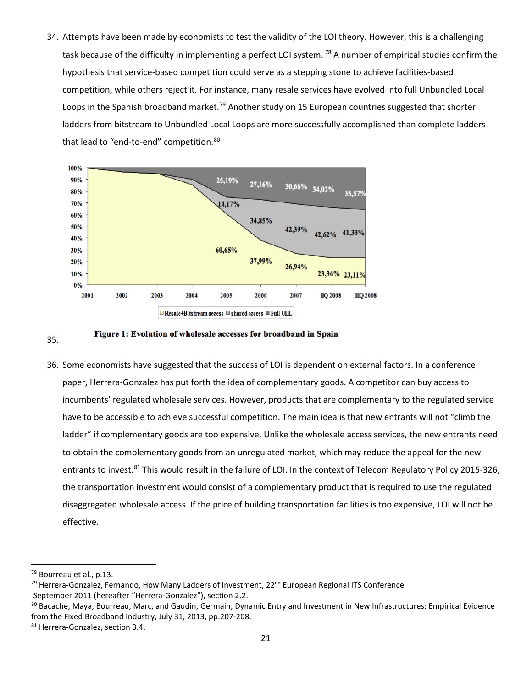34. Attempts have been made by economists to test the validity of the LOI theory. However, this is a challenging task because of the difficulty in implementing a perfect LOI system.<sup>[78](#page-20-0)</sup> A number of empirical studies confirm the hypothesis that service-based competition could serve as a stepping stone to achieve facilities-based competition, while others reject it. For instance, many resale services have evolved into full Unbundled Local Loops in the Spanish broadband market.<sup>[79](#page-20-1)</sup> Another study on 15 European countries suggested that shorter ladders from bitstream to Unbundled Local Loops are more successfully accomplished than complete ladders that lead to "end-to-end" competition. [80](#page-20-2)





36. Some economists have suggested that the success of LOI is dependent on external factors. In a conference paper, Herrera-Gonzalez has put forth the idea of complementary goods. A competitor can buy access to incumbents' regulated wholesale services. However, products that are complementary to the regulated service have to be accessible to achieve successful competition. The main idea is that new entrants will not "climb the ladder" if complementary goods are too expensive. Unlike the wholesale access services, the new entrants need to obtain the complementary goods from an unregulated market, which may reduce the appeal for the new entrants to invest.<sup>[81](#page-20-3)</sup> This would result in the failure of LOI. In the context of Telecom Regulatory Policy 2015-326, the transportation investment would consist of a complementary product that is required to use the regulated disaggregated wholesale access. If the price of building transportation facilities is too expensive, LOI will not be effective.

<span id="page-20-0"></span><sup>&</sup>lt;sup>78</sup> Bourreau et al., p.13.

<span id="page-20-1"></span><sup>&</sup>lt;sup>79</sup> Herrera-Gonzalez, Fernando, How Many Ladders of Investment, 22<sup>nd</sup> European Regional ITS Conference

<span id="page-20-2"></span>September 2011 (hereafter "Herrera-Gonzalez"), section 2.2.<br><sup>80</sup> Bacache, Maya, Bourreau, Marc, and Gaudin, Germain, Dynamic Entry and Investment in New Infrastructures: Empirical Evidence from the Fixed Broadband Industry, July 31, 2013, pp.207-208.<br><sup>81</sup> Herrera-Gonzalez, section 3.4.

<span id="page-20-3"></span>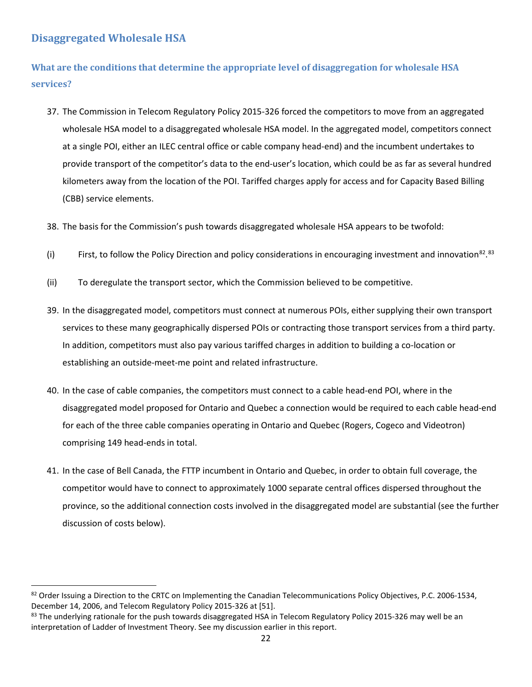### <span id="page-21-0"></span>**Disaggregated Wholesale HSA**

<span id="page-21-1"></span>**What are the conditions that determine the appropriate level of disaggregation for wholesale HSA services?**

- 37. The Commission in Telecom Regulatory Policy 2015-326 forced the competitors to move from an aggregated wholesale HSA model to a disaggregated wholesale HSA model. In the aggregated model, competitors connect at a single POI, either an ILEC central office or cable company head-end) and the incumbent undertakes to provide transport of the competitor's data to the end-user's location, which could be as far as several hundred kilometers away from the location of the POI. Tariffed charges apply for access and for Capacity Based Billing (CBB) service elements.
- 38. The basis for the Commission's push towards disaggregated wholesale HSA appears to be twofold:
- (i) First, to follow the Policy Direction and policy considerations in encouraging investment and innovation<sup>82</sup>.<sup>[83](#page-21-3)</sup>
- (ii) To deregulate the transport sector, which the Commission believed to be competitive.
- 39. In the disaggregated model, competitors must connect at numerous POIs, either supplying their own transport services to these many geographically dispersed POIs or contracting those transport services from a third party. In addition, competitors must also pay various tariffed charges in addition to building a co-location or establishing an outside-meet-me point and related infrastructure.
- 40. In the case of cable companies, the competitors must connect to a cable head-end POI, where in the disaggregated model proposed for Ontario and Quebec a connection would be required to each cable head-end for each of the three cable companies operating in Ontario and Quebec (Rogers, Cogeco and Videotron) comprising 149 head-ends in total.
- 41. In the case of Bell Canada, the FTTP incumbent in Ontario and Quebec, in order to obtain full coverage, the competitor would have to connect to approximately 1000 separate central offices dispersed throughout the province, so the additional connection costs involved in the disaggregated model are substantial (see the further discussion of costs below).

<span id="page-21-2"></span><sup>82</sup> Order Issuing a Direction to the CRTC on Implementing the Canadian Telecommunications Policy Objectives, P.C. 2006-1534, December 14, 2006, and Telecom Regulatory Policy 2015-326 at [51].<br><sup>83</sup> The underlying rationale for the push towards disaggregated HSA in Telecom Regulatory Policy 2015-326 may well be an

<span id="page-21-3"></span>interpretation of Ladder of Investment Theory. See my discussion earlier in this report.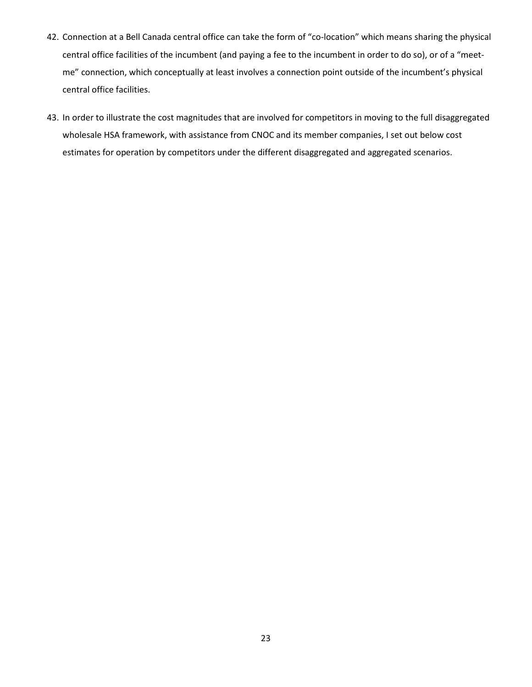- 42. Connection at a Bell Canada central office can take the form of "co-location" which means sharing the physical central office facilities of the incumbent (and paying a fee to the incumbent in order to do so), or of a "meetme" connection, which conceptually at least involves a connection point outside of the incumbent's physical central office facilities.
- 43. In order to illustrate the cost magnitudes that are involved for competitors in moving to the full disaggregated wholesale HSA framework, with assistance from CNOC and its member companies, I set out below cost estimates for operation by competitors under the different disaggregated and aggregated scenarios.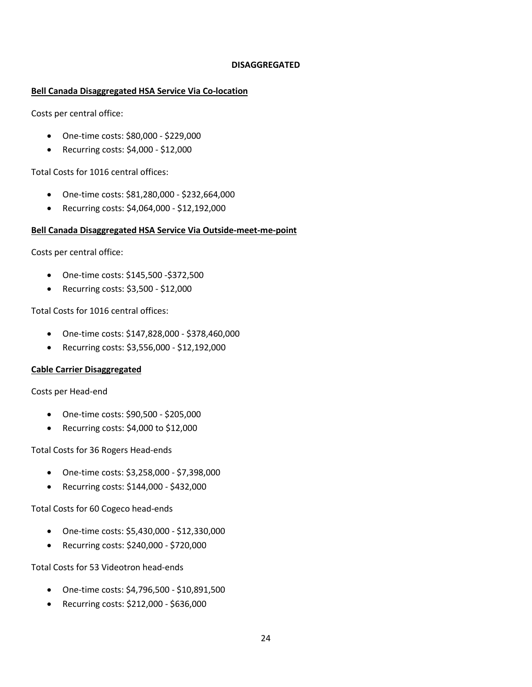#### **DISAGGREGATED**

#### **Bell Canada Disaggregated HSA Service Via Co-location**

Costs per central office:

- One-time costs: \$80,000 \$229,000
- Recurring costs: \$4,000 \$12,000

Total Costs for 1016 central offices:

- One-time costs: \$81,280,000 \$232,664,000
- Recurring costs: \$4,064,000 \$12,192,000

#### **Bell Canada Disaggregated HSA Service Via Outside-meet-me-point**

Costs per central office:

- One-time costs: \$145,500 -\$372,500
- Recurring costs: \$3,500 \$12,000

Total Costs for 1016 central offices:

- One-time costs: \$147,828,000 \$378,460,000
- Recurring costs: \$3,556,000 \$12,192,000

#### **Cable Carrier Disaggregated**

Costs per Head-end

- One-time costs: \$90,500 \$205,000
- Recurring costs: \$4,000 to \$12,000

Total Costs for 36 Rogers Head-ends

- One-time costs: \$3,258,000 \$7,398,000
- Recurring costs: \$144,000 \$432,000

Total Costs for 60 Cogeco head-ends

- One-time costs: \$5,430,000 \$12,330,000
- Recurring costs: \$240,000 \$720,000

Total Costs for 53 Videotron head-ends

- One-time costs: \$4,796,500 \$10,891,500
- Recurring costs: \$212,000 \$636,000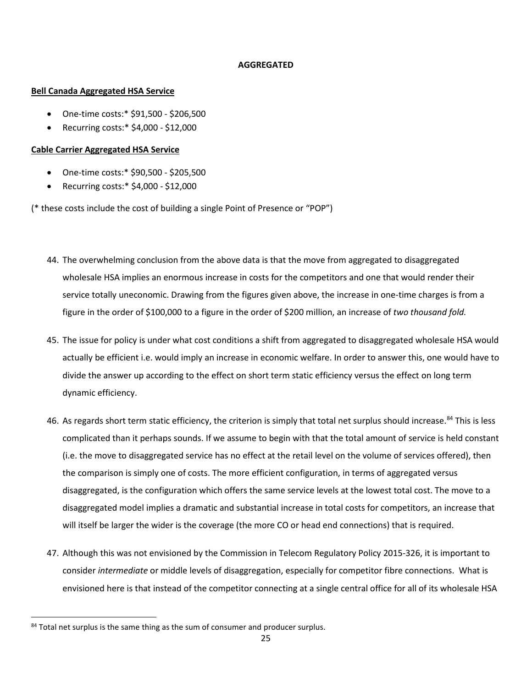#### **AGGREGATED**

#### **Bell Canada Aggregated HSA Service**

- One-time costs:\* \$91,500 \$206,500
- Recurring costs:\* \$4,000 \$12,000

#### **Cable Carrier Aggregated HSA Service**

- One-time costs:\* \$90,500 \$205,500
- Recurring costs:\* \$4,000 \$12,000

(\* these costs include the cost of building a single Point of Presence or "POP")

- 44. The overwhelming conclusion from the above data is that the move from aggregated to disaggregated wholesale HSA implies an enormous increase in costs for the competitors and one that would render their service totally uneconomic. Drawing from the figures given above, the increase in one-time charges is from a figure in the order of \$100,000 to a figure in the order of \$200 million, an increase of *two thousand fold.*
- 45. The issue for policy is under what cost conditions a shift from aggregated to disaggregated wholesale HSA would actually be efficient i.e. would imply an increase in economic welfare. In order to answer this, one would have to divide the answer up according to the effect on short term static efficiency versus the effect on long term dynamic efficiency.
- 46. As regards short term static efficiency, the criterion is simply that total net surplus should increase.<sup>[84](#page-24-0)</sup> This is less complicated than it perhaps sounds. If we assume to begin with that the total amount of service is held constant (i.e. the move to disaggregated service has no effect at the retail level on the volume of services offered), then the comparison is simply one of costs. The more efficient configuration, in terms of aggregated versus disaggregated, is the configuration which offers the same service levels at the lowest total cost. The move to a disaggregated model implies a dramatic and substantial increase in total costs for competitors, an increase that will itself be larger the wider is the coverage (the more CO or head end connections) that is required.
- 47. Although this was not envisioned by the Commission in Telecom Regulatory Policy 2015-326, it is important to consider *intermediate* or middle levels of disaggregation, especially for competitor fibre connections. What is envisioned here is that instead of the competitor connecting at a single central office for all of its wholesale HSA

<span id="page-24-0"></span><sup>&</sup>lt;sup>84</sup> Total net surplus is the same thing as the sum of consumer and producer surplus.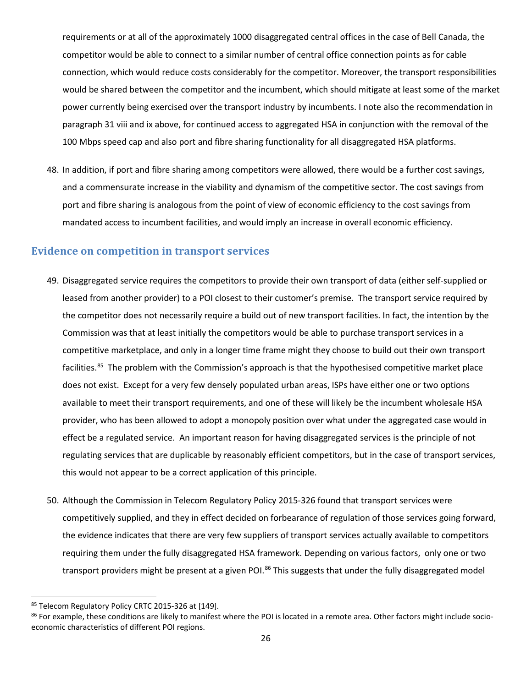requirements or at all of the approximately 1000 disaggregated central offices in the case of Bell Canada, the competitor would be able to connect to a similar number of central office connection points as for cable connection, which would reduce costs considerably for the competitor. Moreover, the transport responsibilities would be shared between the competitor and the incumbent, which should mitigate at least some of the market power currently being exercised over the transport industry by incumbents. I note also the recommendation in paragraph 31 viii and ix above, for continued access to aggregated HSA in conjunction with the removal of the 100 Mbps speed cap and also port and fibre sharing functionality for all disaggregated HSA platforms.

48. In addition, if port and fibre sharing among competitors were allowed, there would be a further cost savings, and a commensurate increase in the viability and dynamism of the competitive sector. The cost savings from port and fibre sharing is analogous from the point of view of economic efficiency to the cost savings from mandated access to incumbent facilities, and would imply an increase in overall economic efficiency.

#### <span id="page-25-0"></span>**Evidence on competition in transport services**

- 49. Disaggregated service requires the competitors to provide their own transport of data (either self-supplied or leased from another provider) to a POI closest to their customer's premise. The transport service required by the competitor does not necessarily require a build out of new transport facilities. In fact, the intention by the Commission was that at least initially the competitors would be able to purchase transport services in a competitive marketplace, and only in a longer time frame might they choose to build out their own transport facilities.<sup>[85](#page-25-1)</sup> The problem with the Commission's approach is that the hypothesised competitive market place does not exist. Except for a very few densely populated urban areas, ISPs have either one or two options available to meet their transport requirements, and one of these will likely be the incumbent wholesale HSA provider, who has been allowed to adopt a monopoly position over what under the aggregated case would in effect be a regulated service. An important reason for having disaggregated services is the principle of not regulating services that are duplicable by reasonably efficient competitors, but in the case of transport services, this would not appear to be a correct application of this principle.
- 50. Although the Commission in Telecom Regulatory Policy 2015-326 found that transport services were competitively supplied, and they in effect decided on forbearance of regulation of those services going forward, the evidence indicates that there are very few suppliers of transport services actually available to competitors requiring them under the fully disaggregated HSA framework. Depending on various factors, only one or two transport providers might be present at a given POI.<sup>[86](#page-25-2)</sup> This suggests that under the fully disaggregated model

<span id="page-25-1"></span><sup>85</sup> Telecom Regulatory Policy CRTC 2015-326 at [149].

<span id="page-25-2"></span> $86$  For example, these conditions are likely to manifest where the POI is located in a remote area. Other factors might include socioeconomic characteristics of different POI regions.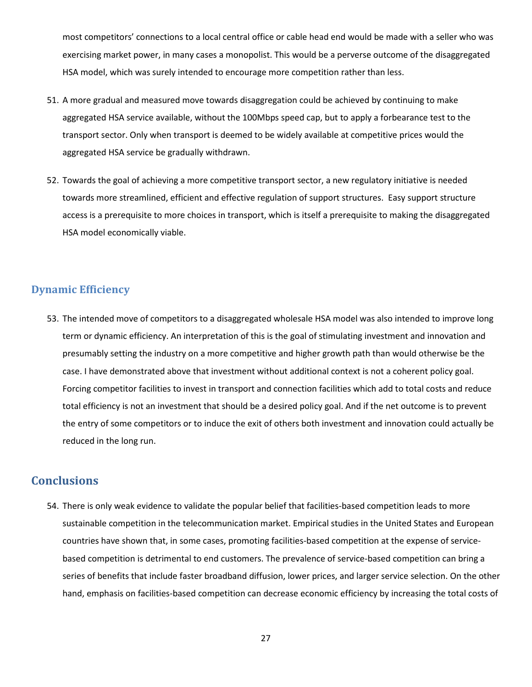most competitors' connections to a local central office or cable head end would be made with a seller who was exercising market power, in many cases a monopolist. This would be a perverse outcome of the disaggregated HSA model, which was surely intended to encourage more competition rather than less.

- 51. A more gradual and measured move towards disaggregation could be achieved by continuing to make aggregated HSA service available, without the 100Mbps speed cap, but to apply a forbearance test to the transport sector. Only when transport is deemed to be widely available at competitive prices would the aggregated HSA service be gradually withdrawn.
- 52. Towards the goal of achieving a more competitive transport sector, a new regulatory initiative is needed towards more streamlined, efficient and effective regulation of support structures. Easy support structure access is a prerequisite to more choices in transport, which is itself a prerequisite to making the disaggregated HSA model economically viable.

### <span id="page-26-0"></span>**Dynamic Efficiency**

53. The intended move of competitors to a disaggregated wholesale HSA model was also intended to improve long term or dynamic efficiency. An interpretation of this is the goal of stimulating investment and innovation and presumably setting the industry on a more competitive and higher growth path than would otherwise be the case. I have demonstrated above that investment without additional context is not a coherent policy goal. Forcing competitor facilities to invest in transport and connection facilities which add to total costs and reduce total efficiency is not an investment that should be a desired policy goal. And if the net outcome is to prevent the entry of some competitors or to induce the exit of others both investment and innovation could actually be reduced in the long run.

## <span id="page-26-1"></span>**Conclusions**

54. There is only weak evidence to validate the popular belief that facilities-based competition leads to more sustainable competition in the telecommunication market. Empirical studies in the United States and European countries have shown that, in some cases, promoting facilities-based competition at the expense of servicebased competition is detrimental to end customers. The prevalence of service-based competition can bring a series of benefits that include faster broadband diffusion, lower prices, and larger service selection. On the other hand, emphasis on facilities-based competition can decrease economic efficiency by increasing the total costs of